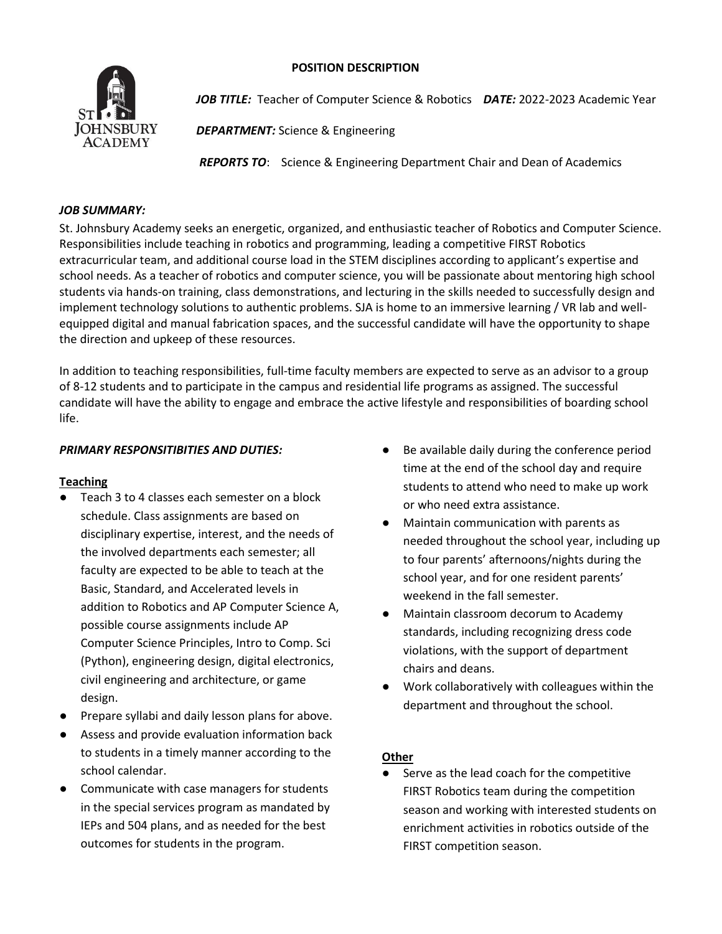### **POSITION DESCRIPTION**



*JOB TITLE:* Teacher of Computer Science & Robotics*DATE:* 2022-2023 Academic Year

*DEPARTMENT:* Science & Engineering

*REPORTS TO*: Science & Engineering Department Chair and Dean of Academics

### *JOB SUMMARY:*

St. Johnsbury Academy seeks an energetic, organized, and enthusiastic teacher of Robotics and Computer Science. Responsibilities include teaching in robotics and programming, leading a competitive FIRST Robotics extracurricular team, and additional course load in the STEM disciplines according to applicant's expertise and school needs. As a teacher of robotics and computer science, you will be passionate about mentoring high school students via hands-on training, class demonstrations, and lecturing in the skills needed to successfully design and implement technology solutions to authentic problems. SJA is home to an immersive learning / VR lab and wellequipped digital and manual fabrication spaces, and the successful candidate will have the opportunity to shape the direction and upkeep of these resources.

In addition to teaching responsibilities, full-time faculty members are expected to serve as an advisor to a group of 8-12 students and to participate in the campus and residential life programs as assigned. The successful candidate will have the ability to engage and embrace the active lifestyle and responsibilities of boarding school life.

# *PRIMARY RESPONSITIBITIES AND DUTIES:*

## **Teaching**

- Teach 3 to 4 classes each semester on a block schedule. Class assignments are based on disciplinary expertise, interest, and the needs of the involved departments each semester; all faculty are expected to be able to teach at the Basic, Standard, and Accelerated levels in addition to Robotics and AP Computer Science A, possible course assignments include AP Computer Science Principles, Intro to Comp. Sci (Python), engineering design, digital electronics, civil engineering and architecture, or game design.
- Prepare syllabi and daily lesson plans for above.
- Assess and provide evaluation information back to students in a timely manner according to the school calendar.
- Communicate with case managers for students in the special services program as mandated by IEPs and 504 plans, and as needed for the best outcomes for students in the program.
- Be available daily during the conference period time at the end of the school day and require students to attend who need to make up work or who need extra assistance.
- Maintain communication with parents as needed throughout the school year, including up to four parents' afternoons/nights during the school year, and for one resident parents' weekend in the fall semester.
- Maintain classroom decorum to Academy standards, including recognizing dress code violations, with the support of department chairs and deans.
- Work collaboratively with colleagues within the department and throughout the school.

## **Other**

Serve as the lead coach for the competitive FIRST Robotics team during the competition season and working with interested students on enrichment activities in robotics outside of the FIRST competition season.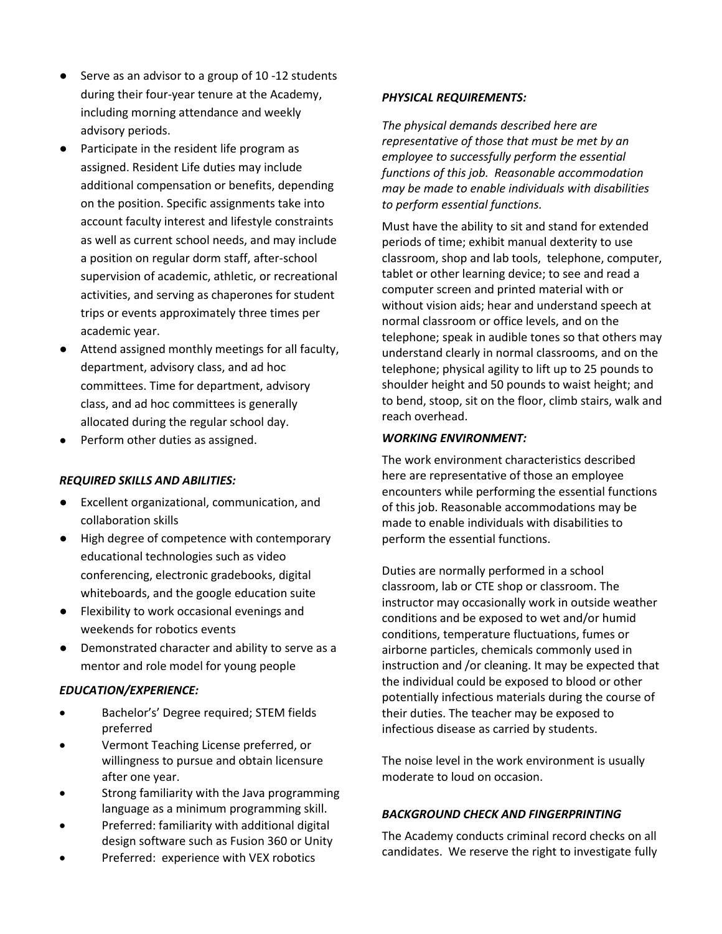- Serve as an advisor to a group of 10 -12 students during their four-year tenure at the Academy, including morning attendance and weekly advisory periods.
- Participate in the resident life program as assigned. Resident Life duties may include additional compensation or benefits, depending on the position. Specific assignments take into account faculty interest and lifestyle constraints as well as current school needs, and may include a position on regular dorm staff, after-school supervision of academic, athletic, or recreational activities, and serving as chaperones for student trips or events approximately three times per academic year.
- Attend assigned monthly meetings for all faculty, department, advisory class, and ad hoc committees. Time for department, advisory class, and ad hoc committees is generally allocated during the regular school day.
- Perform other duties as assigned.

#### *REQUIRED SKILLS AND ABILITIES:*

- Excellent organizational, communication, and collaboration skills
- High degree of competence with contemporary educational technologies such as video conferencing, electronic gradebooks, digital whiteboards, and the google education suite
- Flexibility to work occasional evenings and weekends for robotics events
- Demonstrated character and ability to serve as a mentor and role model for young people

#### *EDUCATION/EXPERIENCE:*

- Bachelor's' Degree required; STEM fields preferred
- Vermont Teaching License preferred, or willingness to pursue and obtain licensure after one year.
- Strong familiarity with the Java programming language as a minimum programming skill.
- Preferred: familiarity with additional digital design software such as Fusion 360 or Unity
- Preferred: experience with VEX robotics

#### *PHYSICAL REQUIREMENTS:*

*The physical demands described here are representative of those that must be met by an employee to successfully perform the essential functions of this job. Reasonable accommodation may be made to enable individuals with disabilities to perform essential functions.*

Must have the ability to sit and stand for extended periods of time; exhibit manual dexterity to use classroom, shop and lab tools, telephone, computer, tablet or other learning device; to see and read a computer screen and printed material with or without vision aids; hear and understand speech at normal classroom or office levels, and on the telephone; speak in audible tones so that others may understand clearly in normal classrooms, and on the telephone; physical agility to lift up to 25 pounds to shoulder height and 50 pounds to waist height; and to bend, stoop, sit on the floor, climb stairs, walk and reach overhead.

#### *WORKING ENVIRONMENT:*

The work environment characteristics described here are representative of those an employee encounters while performing the essential functions of this job. Reasonable accommodations may be made to enable individuals with disabilities to perform the essential functions.

Duties are normally performed in a school classroom, lab or CTE shop or classroom. The instructor may occasionally work in outside weather conditions and be exposed to wet and/or humid conditions, temperature fluctuations, fumes or airborne particles, chemicals commonly used in instruction and /or cleaning. It may be expected that the individual could be exposed to blood or other potentially infectious materials during the course of their duties. The teacher may be exposed to infectious disease as carried by students.

The noise level in the work environment is usually moderate to loud on occasion.

## *BACKGROUND CHECK AND FINGERPRINTING*

The Academy conducts criminal record checks on all candidates. We reserve the right to investigate fully